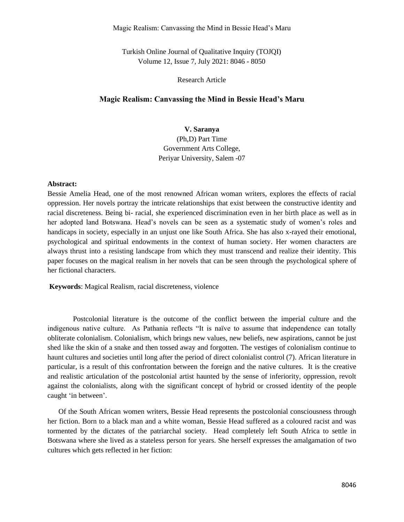Magic Realism: Canvassing the Mind in Bessie Head's Maru

Turkish Online Journal of Qualitative Inquiry (TOJQI) Volume 12, Issue 7, July 2021: 8046 - 8050

Research Article

### **Magic Realism: Canvassing the Mind in Bessie Head's Maru**

# **V. Saranya**

(Ph,D) Part Time Government Arts College, Periyar University, Salem -07

#### **Abstract:**

Bessie Amelia Head, one of the most renowned African woman writers, explores the effects of racial oppression. Her novels portray the intricate relationships that exist between the constructive identity and racial discreteness. Being bi- racial, she experienced discrimination even in her birth place as well as in her adopted land Botswana. Head's novels can be seen as a systematic study of women's roles and handicaps in society, especially in an unjust one like South Africa. She has also x-rayed their emotional, psychological and spiritual endowments in the context of human society. Her women characters are always thrust into a resisting landscape from which they must transcend and realize their identity. This paper focuses on the magical realism in her novels that can be seen through the psychological sphere of her fictional characters.

**Keywords**: Magical Realism, racial discreteness, violence

 Postcolonial literature is the outcome of the conflict between the imperial culture and the indigenous native culture. As Pathania reflects "It is naïve to assume that independence can totally obliterate colonialism. Colonialism, which brings new values, new beliefs, new aspirations, cannot be just shed like the skin of a snake and then tossed away and forgotten. The vestiges of colonialism continue to haunt cultures and societies until long after the period of direct colonialist control (7). African literature in particular, is a result of this confrontation between the foreign and the native cultures. It is the creative and realistic articulation of the postcolonial artist haunted by the sense of inferiority, oppression, revolt against the colonialists, along with the significant concept of hybrid or crossed identity of the people caught 'in between'.

 Of the South African women writers, Bessie Head represents the postcolonial consciousness through her fiction. Born to a black man and a white woman, Bessie Head suffered as a coloured racist and was tormented by the dictates of the patriarchal society. Head completely left South Africa to settle in Botswana where she lived as a stateless person for years. She herself expresses the amalgamation of two cultures which gets reflected in her fiction: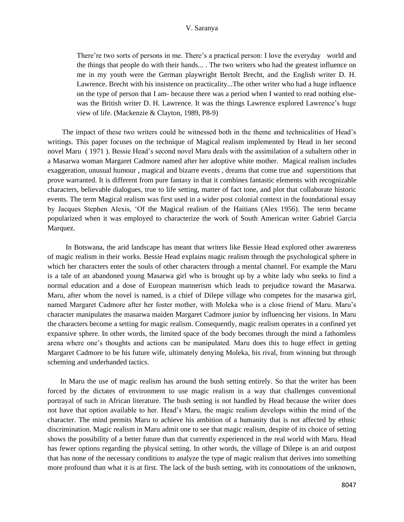#### V. Saranya

There're two sorts of persons in me. There's a practical person: I love the everyday world and the things that people do with their hands... . The two writers who had the greatest influence on me in my youth were the German playwright Bertolt Brecht, and the English writer D. H. Lawrence. Brecht with his insistence on practicality...The other writer who had a huge influence on the type of person that I am- because there was a period when I wanted to read nothing elsewas the British writer D. H. Lawrence. It was the things Lawrence explored Lawrence's huge view of life. (Mackenzie & Clayton, 1989, P8-9)

 The impact of these two writers could be witnessed both in the theme and technicalities of Head's writings. This paper focuses on the technique of Magical realism implemented by Head in her second novel Maru ( 1971 ). Bessie Head's second novel Maru deals with the assimilation of a subaltern other in a Masarwa woman Margaret Cadmore named after her adoptive white mother. Magical realism includes exaggeration, unusual humour , magical and bizarre events , dreams that come true and superstitions that prove warranted. It is different from pure fantasy in that it combines fantastic elements with recognizable characters, believable dialogues, true to life setting, matter of fact tone, and plot that collaborate historic events. The term Magical realism was first used in a wider post colonial context in the foundational essay by Jacques Stephen Alexis, 'Of the Magical realism of the Haitians (Alex 1956). The term became popularized when it was employed to characterize the work of South American writer Gabriel Garcia Marquez.

 In Botswana, the arid landscape has meant that writers like Bessie Head explored other awareness of magic realism in their works. Bessie Head explains magic realism through the psychological sphere in which her characters enter the souls of other characters through a mental channel. For example the Maru is a tale of an abandoned young Masarwa girl who is brought up by a white lady who seeks to find a normal education and a dose of European mannerism which leads to prejudice toward the Masarwa. Maru, after whom the novel is named, is a chief of Dilepe village who competes for the masarwa girl, named Margaret Cadmore after her foster mother, with Moleka who is a close friend of Maru. Maru's character manipulates the masarwa maiden Margaret Cadmore junior by influencing her visions. In Maru the characters become a setting for magic realism. Consequently, magic realism operates in a confined yet expansive sphere. In other words, the limited space of the body becomes through the mind a fathomless arena where one's thoughts and actions can be manipulated. Maru does this to huge effect in getting Margaret Cadmore to be his future wife, ultimately denying Moleka, his rival, from winning but through scheming and underhanded tactics.

 In Maru the use of magic realism has around the bush setting entirely. So that the writer has been forced by the dictates of environment to use magic realism in a way that challenges conventional portrayal of such in African literature. The bush setting is not handled by Head because the writer does not have that option available to her. Head's Maru, the magic realism develops within the mind of the character. The mind permits Maru to achieve his ambition of a humanity that is not affected by ethnic discrimination. Magic realism in Maru admit one to see that magic realism, despite of its choice of setting shows the possibility of a better future than that currently experienced in the real world with Maru. Head has fewer options regarding the physical setting. In other words, the village of Dilepe is an arid outpost that has none of the necessary conditions to analyze the type of magic realism that derives into something more profound than what it is at first. The lack of the bush setting, with its connotations of the unknown,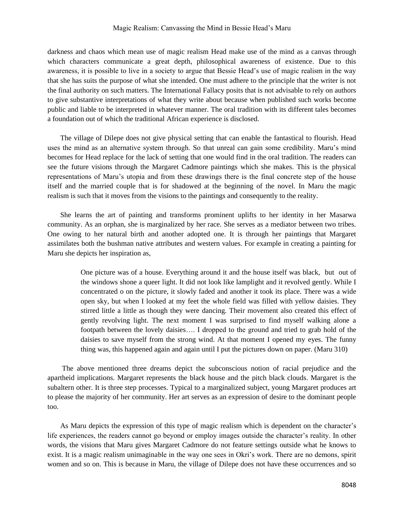darkness and chaos which mean use of magic realism Head make use of the mind as a canvas through which characters communicate a great depth, philosophical awareness of existence. Due to this awareness, it is possible to live in a society to argue that Bessie Head's use of magic realism in the way that she has suits the purpose of what she intended. One must adhere to the principle that the writer is not the final authority on such matters. The International Fallacy posits that is not advisable to rely on authors to give substantive interpretations of what they write about because when published such works become public and liable to be interpreted in whatever manner. The oral tradition with its different tales becomes a foundation out of which the traditional African experience is disclosed.

 The village of Dilepe does not give physical setting that can enable the fantastical to flourish. Head uses the mind as an alternative system through. So that unreal can gain some credibility. Maru's mind becomes for Head replace for the lack of setting that one would find in the oral tradition. The readers can see the future visions through the Margaret Cadmore paintings which she makes. This is the physical representations of Maru's utopia and from these drawings there is the final concrete step of the house itself and the married couple that is for shadowed at the beginning of the novel. In Maru the magic realism is such that it moves from the visions to the paintings and consequently to the reality.

 She learns the art of painting and transforms prominent uplifts to her identity in her Masarwa community. As an orphan, she is marginalized by her race. She serves as a mediator between two tribes. One owing to her natural birth and another adopted one. It is through her paintings that Margaret assimilates both the bushman native attributes and western values. For example in creating a painting for Maru she depicts her inspiration as,

> One picture was of a house. Everything around it and the house itself was black, but out of the windows shone a queer light. It did not look like lamplight and it revolved gently. While I concentrated o on the picture, it slowly faded and another it took its place. There was a wide open sky, but when I looked at my feet the whole field was filled with yellow daisies. They stirred little a little as though they were dancing. Their movement also created this effect of gently revolving light. The next moment I was surprised to find myself walking alone a footpath between the lovely daisies…. I dropped to the ground and tried to grab hold of the daisies to save myself from the strong wind. At that moment I opened my eyes. The funny thing was, this happened again and again until I put the pictures down on paper. (Maru 310)

 The above mentioned three dreams depict the subconscious notion of racial prejudice and the apartheid implications. Margaret represents the black house and the pitch black clouds. Margaret is the subaltern other. It is three step processes. Typical to a marginalized subject, young Margaret produces art to please the majority of her community. Her art serves as an expression of desire to the dominant people too.

 As Maru depicts the expression of this type of magic realism which is dependent on the character's life experiences, the readers cannot go beyond or employ images outside the character's reality. In other words, the visions that Maru gives Margaret Cadmore do not feature settings outside what he knows to exist. It is a magic realism unimaginable in the way one sees in Okri's work. There are no demons, spirit women and so on. This is because in Maru, the village of Dilepe does not have these occurrences and so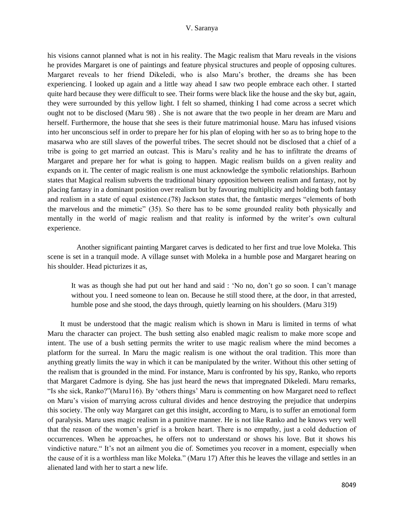#### V. Saranya

his visions cannot planned what is not in his reality. The Magic realism that Maru reveals in the visions he provides Margaret is one of paintings and feature physical structures and people of opposing cultures. Margaret reveals to her friend Dikeledi, who is also Maru's brother, the dreams she has been experiencing. I looked up again and a little way ahead I saw two people embrace each other. I started quite hard because they were difficult to see. Their forms were black like the house and the sky but, again, they were surrounded by this yellow light. I felt so shamed, thinking I had come across a secret which ought not to be disclosed (Maru 98) . She is not aware that the two people in her dream are Maru and herself. Furthermore, the house that she sees is their future matrimonial house. Maru has infused visions into her unconscious self in order to prepare her for his plan of eloping with her so as to bring hope to the masarwa who are still slaves of the powerful tribes. The secret should not be disclosed that a chief of a tribe is going to get married an outcast. This is Maru's reality and he has to infiltrate the dreams of Margaret and prepare her for what is going to happen. Magic realism builds on a given reality and expands on it. The center of magic realism is one must acknowledge the symbolic relationships. Barhoun states that Magical realism subverts the traditional binary opposition between realism and fantasy, not by placing fantasy in a dominant position over realism but by favouring multiplicity and holding both fantasy and realism in a state of equal existence.(78) Jackson states that, the fantastic merges "elements of both the marvelous and the mimetic" (35). So there has to be some grounded reality both physically and mentally in the world of magic realism and that reality is informed by the writer's own cultural experience.

 Another significant painting Margaret carves is dedicated to her first and true love Moleka. This scene is set in a tranquil mode. A village sunset with Moleka in a humble pose and Margaret hearing on his shoulder. Head picturizes it as,

It was as though she had put out her hand and said : 'No no, don't go so soon. I can't manage without you. I need someone to lean on. Because he still stood there, at the door, in that arrested, humble pose and she stood, the days through, quietly learning on his shoulders. (Maru 319)

 It must be understood that the magic realism which is shown in Maru is limited in terms of what Maru the character can project. The bush setting also enabled magic realism to make more scope and intent. The use of a bush setting permits the writer to use magic realism where the mind becomes a platform for the surreal. In Maru the magic realism is one without the oral tradition. This more than anything greatly limits the way in which it can be manipulated by the writer. Without this other setting of the realism that is grounded in the mind. For instance, Maru is confronted by his spy, Ranko, who reports that Margaret Cadmore is dying. She has just heard the news that impregnated Dikeledi. Maru remarks, "Is she sick, Ranko?"(Maru116). By 'others things' Maru is commenting on how Margaret need to reflect on Maru's vision of marrying across cultural divides and hence destroying the prejudice that underpins this society. The only way Margaret can get this insight, according to Maru, is to suffer an emotional form of paralysis. Maru uses magic realism in a punitive manner. He is not like Ranko and he knows very well that the reason of the women's grief is a broken heart. There is no empathy, just a cold deduction of occurrences. When he approaches, he offers not to understand or shows his love. But it shows his vindictive nature." It's not an ailment you die of. Sometimes you recover in a moment, especially when the cause of it is a worthless man like Moleka." (Maru 17) After this he leaves the village and settles in an alienated land with her to start a new life.